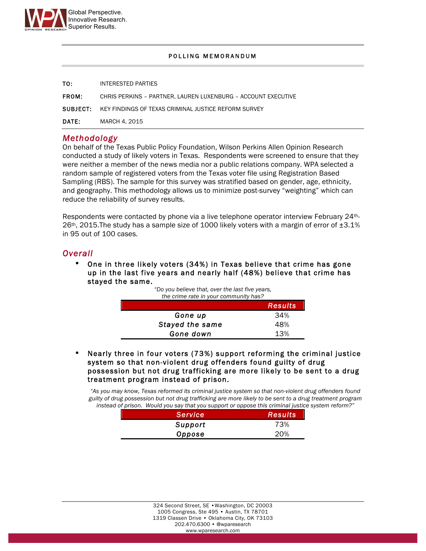

#### POLLING MEMORANDUM

| то:          | INTERESTED PARTIES                                                   |
|--------------|----------------------------------------------------------------------|
| <b>FROM:</b> | CHRIS PERKINS - PARTNER. LAUREN LUXENBURG - ACCOUNT EXECUTIVE        |
|              | <b>SUBJECT:</b> KEY FINDINGS OF TEXAS CRIMINAL JUSTICE REFORM SURVEY |
| <b>DATE:</b> | MARCH 4, 2015                                                        |

### *Methodology*

On behalf of the Texas Public Policy Foundation, Wilson Perkins Allen Opinion Research conducted a study of likely voters in Texas. Respondents were screened to ensure that they were neither a member of the news media nor a public relations company. WPA selected a random sample of registered voters from the Texas voter file using Registration Based Sampling (RBS). The sample for this survey was stratified based on gender, age, ethnicity, and geography. This methodology allows us to minimize post-survey "weighting" which can reduce the reliability of survey results.

Respondents were contacted by phone via a live telephone operator interview February 24th- $26th$ , 2015. The study has a sample size of 1000 likely voters with a margin of error of  $\pm 3.1\%$ in 95 out of 100 cases.

## *Overall*

• One in three likely voters (34%) in Texas believe that crime has gone up in the last five years and nearly half (48%) believe that crime has stayed the same.

*"Do you believe that, over the last five years,* 

| the crime rate in your community has? |                |  |
|---------------------------------------|----------------|--|
|                                       | <b>Results</b> |  |
| Gone up                               | 34%            |  |
| Stayed the same                       | 48%            |  |
| Gone down                             | 13%            |  |

• Nearly three in four voters (73%) support reforming the criminal justice system so that non-violent drug offenders found guilty of drug possession but not drug trafficking are more likely to be sent to a drug treatment program instead of prison.

*"As you may know, Texas reformed its criminal justice system so that non-violent drug offenders found guilty of drug possession but not drug trafficking are more likely to be sent to a drug treatment program instead of prison. Would you say that you support or oppose this criminal justice system reform?"*

| <b>Service</b> | <b>Results</b> |
|----------------|----------------|
| Support        | 73%            |
| Oppose         | 20%            |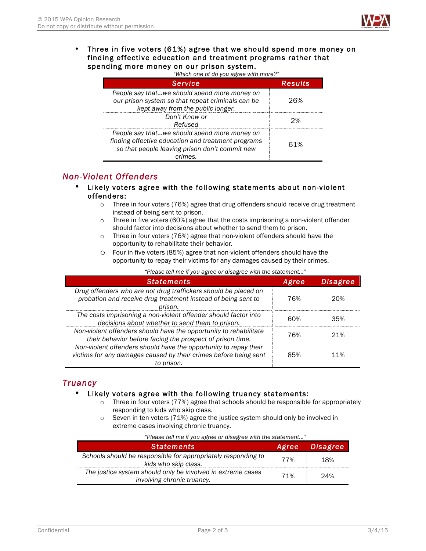

#### • Three in five voters (61%) agree that we should spend more money on finding effective education and treatment programs rather that spending more money on our prison system.

|  | "Which one of do you agree with more?" |  |
|--|----------------------------------------|--|
|  |                                        |  |
|  |                                        |  |

| Service                                                                                                                                                         | Results |
|-----------------------------------------------------------------------------------------------------------------------------------------------------------------|---------|
| People say thatwe should spend more money on<br>our prison system so that repeat criminals can be<br>kept away from the public longer.                          | 26%     |
| Don't Know or<br>Refused                                                                                                                                        | つ%      |
| People say thatwe should spend more money on<br>finding effective education and treatment programs<br>so that people leaving prison don't commit new<br>crimes. | 61%     |

## *Non-Violent Offenders*

- Likely voters agree with the following statements about non-violent offenders:
	- $\circ$  Three in four voters (76%) agree that drug offenders should receive drug treatment instead of being sent to prison.
	- $\circ$  Three in five voters (60%) agree that the costs imprisoning a non-violent offender should factor into decisions about whether to send them to prison.
	- o Three in four voters (76%) agree that non-violent offenders should have the opportunity to rehabilitate their behavior.
	- o Four in five voters (85%) agree that non-violent offenders should have the opportunity to repay their victims for any damages caused by their crimes.

| <b>Statements</b>                                                                                                                                  | Agree | Disagree |
|----------------------------------------------------------------------------------------------------------------------------------------------------|-------|----------|
| Drug offenders who are not drug traffickers should be placed on<br>probation and receive drug treatment instead of being sent to                   | 76%   | 20%      |
| prison.<br>The costs imprisoning a non-violent offender should factor into<br>decisions about whether to send them to prison.                      | 60%   | 35%      |
| Non-violent offenders should have the opportunity to rehabilitate<br>their behavior before facing the prospect of prison time.                     | 76%   | 21%      |
| Non-violent offenders should have the opportunity to repay their<br>victims for any damages caused by their crimes before being sent<br>to prison. | 85%   | $11\%$   |

*"Please tell me if you agree or disagree with the statement…"*

# *Truancy*

### • Likely voters agree with the following truancy statements:

- $\circ$  Three in four voters (77%) agree that schools should be responsible for appropriately responding to kids who skip class.
- o Seven in ten voters (71%) agree the justice system should only be involved in extreme cases involving chronic truancy.

| "Please tell me if you agree or disagree with the statement"<br><b>Statements</b>         | Agree | <b>Disagree</b> |
|-------------------------------------------------------------------------------------------|-------|-----------------|
| Schools should be responsible for appropriately responding to<br>kids who skip class.     | 77%   | 18%             |
| The justice system should only be involved in extreme cases<br>involving chronic truancy. | 71%   | 24%             |

*"Please tell me if you agree or disagree with the statement…"*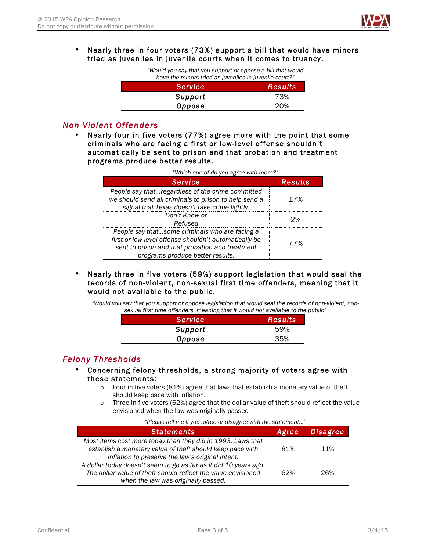

#### • Nearly three in four voters (73%) support a bill that would have minors tried as juveniles in juvenile courts when it comes to truancy.

| "Would you say that you support or oppose a bill that would<br>have the minors tried as juveniles in juvenile court?" |                  |  |
|-----------------------------------------------------------------------------------------------------------------------|------------------|--|
| <b>Service</b>                                                                                                        | <b>Results</b> ' |  |
| Support                                                                                                               | 73%              |  |
| Oppose                                                                                                                | 20%              |  |

# *Non-Violent Offenders*

• Nearly four in five voters (77%) agree more with the point that some criminals who are facing a first or low-level offense shouldn't automatically be sent to prison and that probation and treatment programs produce better results.

| "Which one of do you agree with more?"                                                                                                                                                         |         |  |
|------------------------------------------------------------------------------------------------------------------------------------------------------------------------------------------------|---------|--|
| Service                                                                                                                                                                                        | Results |  |
| People say thatregardless of the crime committed<br>we should send all criminals to prison to help send a<br>signal that Texas doesn't take crime lightly.                                     | 17%     |  |
| Don't Know or<br>Refused                                                                                                                                                                       | つ%      |  |
| People say thatsome criminals who are facing a<br>first or low-level offense shouldn't automatically be<br>sent to prison and that probation and treatment<br>programs produce better results. | 77%     |  |

### • Nearly three in five voters (59%) support legislation that would seal the records of non-violent, non-sexual first time offenders, meaning that it would not available to the public.

*"Would you say that you support or oppose legislation that would seal the records of non-violent, nonsexual first time offenders, meaning that it would not available to the public"*

| Service | Results |
|---------|---------|
| Support | 59%     |
| Oppose  | 35%     |

## *Felony Thresholds*

I

L,

- Concerning felony thresholds, a strong majority of voters agree with these statements:
	- o Four in five voters (81%) agree that laws that establish a monetary value of theft should keep pace with inflation.
	- $\circ$  Three in five voters (62%) agree that the dollar value of theft should reflect the value envisioned when the law was originally passed

| <b>Statements</b>                                                                                                                                                            | Agree | <b>Disagree</b> |
|------------------------------------------------------------------------------------------------------------------------------------------------------------------------------|-------|-----------------|
| Most items cost more today than they did in 1993. Laws that<br>establish a monetary value of theft should keep pace with<br>inflation to preserve the law's original intent. | 81%   | 11%             |
| A dollar today doesn't seem to go as far as it did 10 years ago.<br>The dollar value of theft should reflect the value envisioned<br>when the law was originally passed.     | 62%   | 26%             |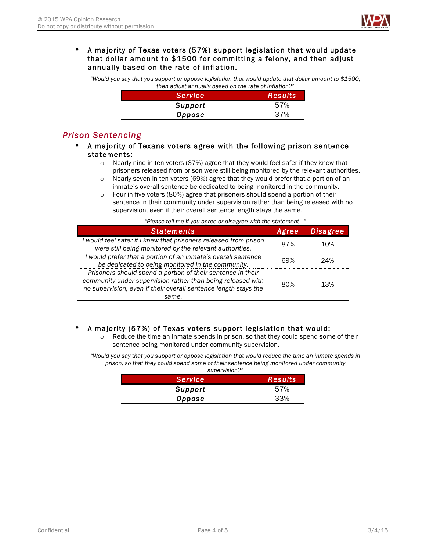

### • A majority of Texas voters (57%) support legislation that would update that dollar amount to \$1500 for committing a felony, and then adjust annually based on the rate of inflation.

*"Would you say that you support or oppose legislation that would update that dollar amount to \$1500, then adjust annually based on the rate of inflation?"*

| Service | <b>Results</b> |
|---------|----------------|
| Support | 57%            |
| Oppose  | 37%            |

# *Prison Sentencing*

- A majority of Texans voters agree with the following prison sentence statements:
	- $\circ$  Nearly nine in ten voters (87%) agree that they would feel safer if they knew that prisoners released from prison were still being monitored by the relevant authorities.
	- $\circ$  Nearly seven in ten voters (69%) agree that they would prefer that a portion of an inmate's overall sentence be dedicated to being monitored in the community.
	- o Four in five voters (80%) agree that prisoners should spend a portion of their sentence in their community under supervision rather than being released with no supervision, even if their overall sentence length stays the same.

*"Please tell me if you agree or disagree with the statement…"*

| <b>Statements</b>                                                                                                                                                                                      | Agree | <b>Disagree</b> |
|--------------------------------------------------------------------------------------------------------------------------------------------------------------------------------------------------------|-------|-----------------|
| I would feel safer if I knew that prisoners released from prison<br>were still being monitored by the relevant authorities.                                                                            | 87%   | 10%             |
| I would prefer that a portion of an inmate's overall sentence<br>be dedicated to being monitored in the community.                                                                                     | 69%   | 24%             |
| Prisoners should spend a portion of their sentence in their<br>community under supervision rather than being released with<br>no supervision, even if their overall sentence length stays the<br>same. | 80%   | 13%             |

### • A majority (57%) of Texas voters support legislation that would:

o Reduce the time an inmate spends in prison, so that they could spend some of their sentence being monitored under community supervision.

*"Would you say that you support or oppose legislation that would reduce the time an inmate spends in prison, so that they could spend some of their sentence being monitored under community supervision?"*

| <b>Service</b> | <b>Results</b> |
|----------------|----------------|
| Support        | 57%            |
| Oppose         | 33%            |